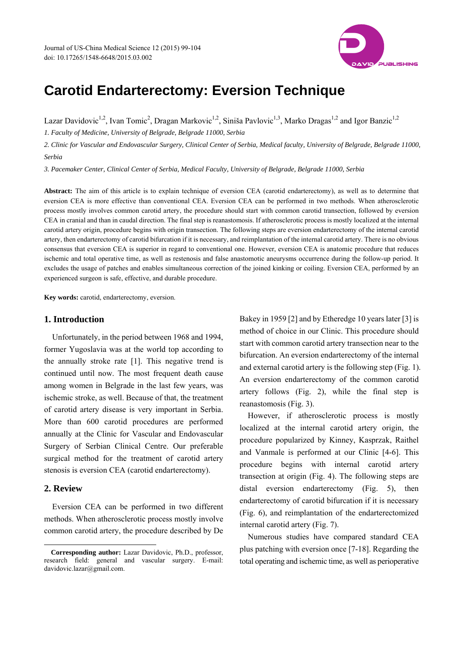

# **Carotid Endarterectomy: Eversion Technique**

Lazar Davidovic<sup>1,2</sup>, Ivan Tomic<sup>2</sup>, Dragan Markovic<sup>1,2</sup>, Siniša Pavlovic<sup>1,3</sup>, Marko Dragas<sup>1,2</sup> and Igor Banzic<sup>1,2</sup>

*1. Faculty of Medicine, University of Belgrade, Belgrade 11000, Serbia* 

*2. Clinic for Vascular and Endovascular Surgery, Clinical Center of Serbia, Medical faculty, University of Belgrade, Belgrade 11000, Serbia* 

*3. Pacemaker Center, Clinical Center of Serbia, Medical Faculty, University of Belgrade, Belgrade 11000, Serbia* 

**Abstract:** The aim of this article is to explain technique of eversion CEA (carotid endarterectomy), as well as to determine that eversion CEA is more effective than conventional CEA. Eversion CEA can be performed in two methods. When atherosclerotic process mostly involves common carotid artery, the procedure should start with common carotid transection, followed by eversion CEA in cranial and than in caudal direction. The final step is reanastomosis. If atherosclerotic process is mostly localized at the internal carotid artery origin, procedure begins with origin transection. The following steps are eversion endarterectomy of the internal carotid artery, then endarterectomy of carotid bifurcation if it is necessary, and reimplantation of the internal carotid artery. There is no obvious consensus that eversion CEA is superior in regard to conventional one. However, eversion CEA is anatomic procedure that reduces ischemic and total operative time, as well as restenosis and false anastomotic aneurysms occurrence during the follow-up period. It excludes the usage of patches and enables simultaneous correction of the joined kinking or coiling. Eversion CEA, performed by an experienced surgeon is safe, effective, and durable procedure.

**Key words:** carotid, endarterectomy, eversion.

## **1. Introduction**

Unfortunately, in the period between 1968 and 1994, former Yugoslavia was at the world top according to the annually stroke rate [1]. This negative trend is continued until now. The most frequent death cause among women in Belgrade in the last few years, was ischemic stroke, as well. Because of that, the treatment of carotid artery disease is very important in Serbia. More than 600 carotid procedures are performed annually at the Clinic for Vascular and Endovascular Surgery of Serbian Clinical Centre. Our preferable surgical method for the treatment of carotid artery stenosis is eversion CEA (carotid endarterectomy).

# **2. Review**

 $\overline{a}$ 

Eversion CEA can be performed in two different methods. When atherosclerotic process mostly involve common carotid artery, the procedure described by De Bakey in 1959 [2] and by Etheredge 10 years later [3] is method of choice in our Clinic. This procedure should start with common carotid artery transection near to the bifurcation. An eversion endarterectomy of the internal and external carotid artery is the following step (Fig. 1). An eversion endarterectomy of the common carotid artery follows (Fig. 2), while the final step is reanastomosis (Fig. 3).

However, if atherosclerotic process is mostly localized at the internal carotid artery origin, the procedure popularized by Kinney, Kasprzak, Raithel and Vanmale is performed at our Clinic [4-6]. This procedure begins with internal carotid artery transection at origin (Fig. 4). The following steps are distal eversion endarterectomy (Fig. 5), then endarterectomy of carotid bifurcation if it is necessary (Fig. 6), and reimplantation of the endarterectomized internal carotid artery (Fig. 7).

Numerous studies have compared standard CEA plus patching with eversion once [7-18]. Regarding the total operating and ischemic time, as well as perioperative

**Corresponding author:** Lazar Davidovic, Ph.D., professor, research field: general and vascular surgery. E-mail: davidovic.lazar@gmail.com.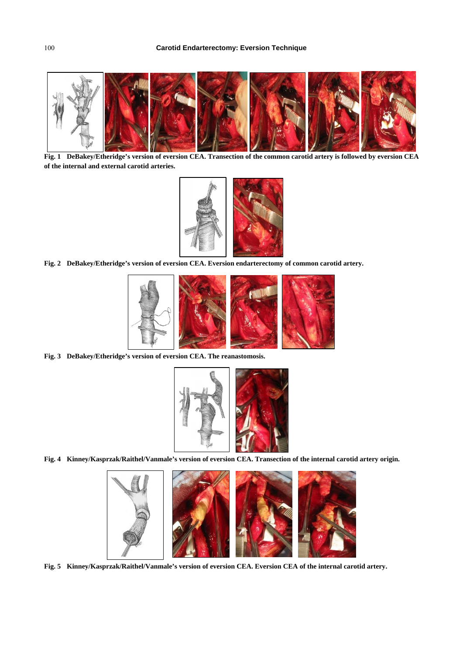

**Fig. 1 DeBakey/Etheridge's version of eversion CEA. Transection of the common carotid artery is followed by eversion CEA of the internal and external carotid arteries.** 



**Fig. 2 DeBakey/Etheridge's version of eversion CEA. Eversion endarterectomy of common carotid artery.** 



**Fig. 3 DeBakey/Etheridge's version of eversion CEA. The reanastomosis.** 



**Fig. 4 Kinney/Kasprzak/Raithel/Vanmale's version of eversion CEA. Transection of the internal carotid artery origin.** 



**Fig. 5 Kinney/Kasprzak/Raithel/Vanmale's version of eversion CEA. Eversion CEA of the internal carotid artery.**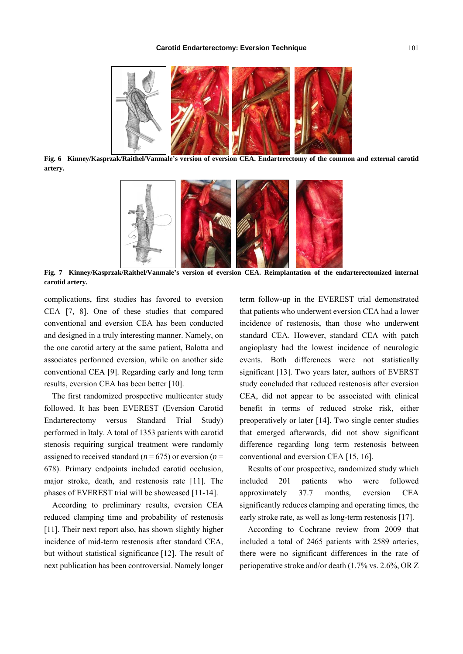

**Fig. 6 Kinney/Kasprzak/Raithel/Vanmale's version of eversion CEA. Endarterectomy of the common and external carotid artery.** 



**Fig. 7 Kinney/Kasprzak/Raithel/Vanmale's version of eversion CEA. Reimplantation of the endarterectomized internal carotid artery.** 

complications, first studies has favored to eversion CEA [7, 8]. One of these studies that compared conventional and eversion CEA has been conducted and designed in a truly interesting manner. Namely, on the one carotid artery at the same patient, Balotta and associates performed eversion, while on another side conventional CEA [9]. Regarding early and long term results, eversion CEA has been better [10].

The first randomized prospective multicenter study followed. It has been EVEREST (Eversion Carotid Endarterectomy versus Standard Trial Study) performed in Italy. A total of 1353 patients with carotid stenosis requiring surgical treatment were randomly assigned to received standard ( $n = 675$ ) or eversion ( $n =$ 678). Primary endpoints included carotid occlusion, major stroke, death, and restenosis rate [11]. The phases of EVEREST trial will be showcased [11-14].

According to preliminary results, eversion CEA reduced clamping time and probability of restenosis [11]. Their next report also, has shown slightly higher incidence of mid-term restenosis after standard CEA, but without statistical significance [12]. The result of next publication has been controversial. Namely longer

term follow-up in the EVEREST trial demonstrated that patients who underwent eversion CEA had a lower incidence of restenosis, than those who underwent standard CEA. However, standard CEA with patch angioplasty had the lowest incidence of neurologic events. Both differences were not statistically significant [13]. Two years later, authors of EVERST study concluded that reduced restenosis after eversion CEA, did not appear to be associated with clinical benefit in terms of reduced stroke risk, either preoperatively or later [14]. Two single center studies that emerged afterwards, did not show significant difference regarding long term restenosis between conventional and eversion CEA [15, 16].

Results of our prospective, randomized study which included 201 patients who were followed approximately 37.7 months, eversion CEA significantly reduces clamping and operating times, the early stroke rate, as well as long-term restenosis [17].

According to Cochrane review from 2009 that included a total of 2465 patients with 2589 arteries, there were no significant differences in the rate of perioperative stroke and/or death (1.7% vs. 2.6%, OR Z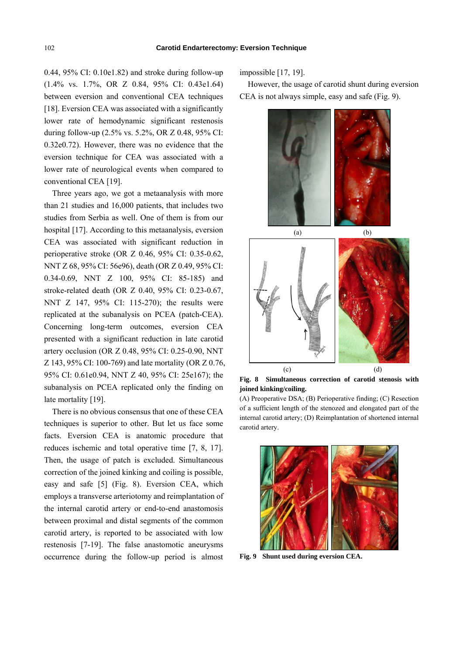0.44, 95% CI: 0.10e1.82) and stroke during follow-up (1.4% vs. 1.7%, OR Z 0.84, 95% CI: 0.43e1.64) between eversion and conventional CEA techniques [18]. Eversion CEA was associated with a significantly lower rate of hemodynamic significant restenosis during follow-up (2.5% vs. 5.2%, OR Z 0.48, 95% CI: 0.32e0.72). However, there was no evidence that the eversion technique for CEA was associated with a lower rate of neurological events when compared to conventional CEA [19].

Three years ago, we got a metaanalysis with more than 21 studies and 16,000 patients, that includes two studies from Serbia as well. One of them is from our hospital [17]. According to this metaanalysis, eversion CEA was associated with significant reduction in perioperative stroke (OR Z 0.46, 95% CI: 0.35-0.62, NNT Z 68, 95% CI: 56e96), death (OR Z 0.49, 95% CI: 0.34-0.69, NNT Z 100, 95% CI: 85-185) and stroke-related death (OR Z 0.40, 95% CI: 0.23-0.67, NNT Z 147, 95% CI: 115-270); the results were replicated at the subanalysis on PCEA (patch-CEA). Concerning long-term outcomes, eversion CEA presented with a significant reduction in late carotid artery occlusion (OR Z 0.48, 95% CI: 0.25-0.90, NNT Z 143, 95% CI: 100-769) and late mortality (OR Z 0.76, 95% CI: 0.61e0.94, NNT Z 40, 95% CI: 25e167); the subanalysis on PCEA replicated only the finding on late mortality [19].

There is no obvious consensus that one of these CEA techniques is superior to other. But let us face some facts. Eversion CEA is anatomic procedure that reduces ischemic and total operative time [7, 8, 17]. Then, the usage of patch is excluded. Simultaneous correction of the joined kinking and coiling is possible, easy and safe [5] (Fig. 8). Eversion CEA, which employs a transverse arteriotomy and reimplantation of the internal carotid artery or end-to-end anastomosis between proximal and distal segments of the common carotid artery, is reported to be associated with low restenosis [7-19]. The false anastomotic aneurysms occurrence during the follow-up period is almost

impossible [17, 19].

However, the usage of carotid shunt during eversion CEA is not always simple, easy and safe (Fig. 9).



**Fig. 8 Simultaneous correction of carotid stenosis with joined kinking/coiling.** 

(A) Preoperative DSA; (B) Perioperative finding; (C) Resection of a sufficient length of the stenozed and elongated part of the internal carotid artery; (D) Reimplantation of shortened internal carotid artery.



**Fig. 9 Shunt used during eversion CEA.**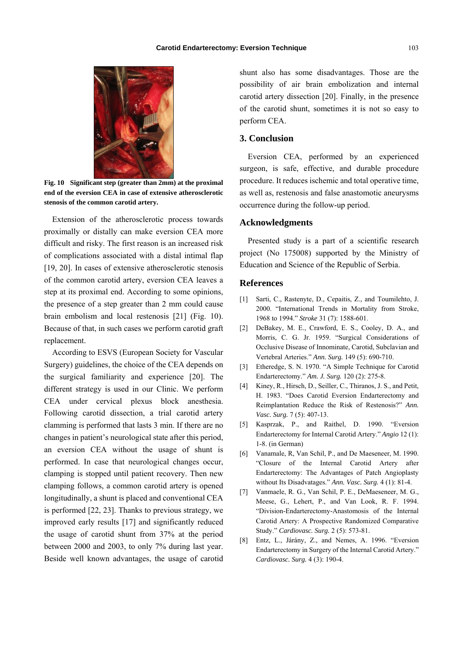

**Fig. 10 Significant step (greater than 2mm) at the proximal end of the eversion CEA in case of extensive atherosclerotic stenosis of the common carotid artery.** 

Extension of the atherosclerotic process towards proximally or distally can make eversion CEA more difficult and risky. The first reason is an increased risk of complications associated with a distal intimal flap [19, 20]. In cases of extensive atherosclerotic stenosis of the common carotid artery, eversion CEA leaves a step at its proximal end. According to some opinions, the presence of a step greater than 2 mm could cause brain embolism and local restenosis [21] (Fig. 10). Because of that, in such cases we perform carotid graft replacement.

According to ESVS (European Society for Vascular Surgery) guidelines, the choice of the CEA depends on the surgical familiarity and experience [20]. The different strategy is used in our Clinic. We perform CEA under cervical plexus block anesthesia. Following carotid dissection, a trial carotid artery clamming is performed that lasts 3 min. If there are no changes in patient's neurological state after this period, an eversion CEA without the usage of shunt is performed. In case that neurological changes occur, clamping is stopped until patient recovery. Then new clamping follows, a common carotid artery is opened longitudinally, a shunt is placed and conventional CEA is performed [22, 23]. Thanks to previous strategy, we improved early results [17] and significantly reduced the usage of carotid shunt from 37% at the period between 2000 and 2003, to only 7% during last year. Beside well known advantages, the usage of carotid

shunt also has some disadvantages. Those are the possibility of air brain embolization and internal carotid artery dissection [20]. Finally, in the presence of the carotid shunt, sometimes it is not so easy to perform CEA.

## **3. Conclusion**

Eversion CEA, performed by an experienced surgeon, is safe, effective, and durable procedure procedure. It reduces ischemic and total operative time, as well as, restenosis and false anastomotic aneurysms occurrence during the follow-up period.

### **Acknowledgments**

Presented study is a part of a scientific research project (No 175008) supported by the Ministry of Education and Science of the Republic of Serbia.

### **References**

- [1] Sarti, C., Rastenyte, D., Cepaitis, Z., and Toumilehto, J. 2000. "International Trends in Mortality from Stroke, 1968 to 1994." *Stroke* 31 (7): 1588-601.
- [2] DeBakey, M. E., Crawford, E. S., Cooley, D. A., and Morris, C. G. Jr. 1959. "Surgical Considerations of Occlusive Disease of Innominate, Carotid, Subclavian and Vertebral Arteries." *Ann. Surg.* 149 (5): 690-710.
- [3] Etheredge, S. N. 1970. "A Simple Technique for Carotid Endarterectomy." *Am. J. Surg.* 120 (2): 275-8.
- [4] Kiney, R., Hirsch, D., Seiller, C., Thiranos, J. S., and Petit, H. 1983. "Does Carotid Eversion Endarterectomy and Reimplantation Reduce the Risk of Restenosis?" *Ann. Vasc. Surg.* 7 (5): 407-13.
- [5] Kasprzak, P., and Raithel, D. 1990. "Eversion Endarterectomy for Internal Carotid Artery." *Angio* 12 (1): 1-8. (in German)
- [6] Vanamale, R, Van Schil, P., and De Maeseneer, M. 1990. "Closure of the Internal Carotid Artery after Endarterectomy: The Advantages of Patch Angioplasty without Its Disadvatages." *Ann. Vasc. Surg.* 4 (1): 81-4.
- [7] Vanmaele, R. G., Van Schil, P. E., DeMaeseneer, M. G., Meese, G., Lehert, P., and Van Look, R. F. 1994. "Division-Endarterectomy-Anastomosis of the Internal Carotid Artery: A Prospective Randomized Comparative Study." *Cardiovasc. Surg.* 2 (5): 573-81.
- [8] Entz, L., Járány, Z., and Nemes, A. 1996. "Eversion Endarterectomy in Surgery of the Internal Carotid Artery." *Cardiovasc. Surg.* 4 (3): 190-4.